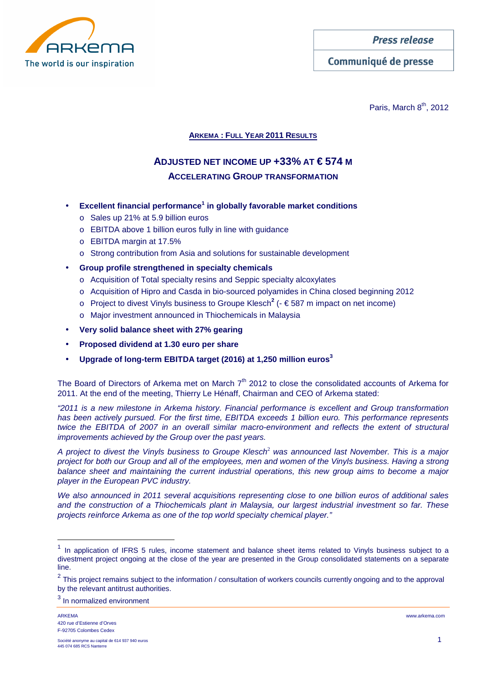

Communiqué de presse

Paris, March  $8<sup>th</sup>$ , 2012

## **ARKEMA : FULL YEAR 2011 RESULTS**

# **ADJUSTED NET INCOME UP +33% AT €574 M ACCELERATING GROUP TRANSFORMATION**

- **Excellent financial performance<sup>1</sup> in globally favorable market conditions** 
	- o Sales up 21% at 5.9 billion euros
	- o EBITDA above 1 billion euros fully in line with guidance
	- o EBITDA margin at 17.5%
	- o Strong contribution from Asia and solutions for sustainable development
- **Group profile strengthened in specialty chemicals** 
	- o Acquisition of Total specialty resins and Seppic specialty alcoxylates
	- o Acquisition of Hipro and Casda in bio-sourced polyamides in China closed beginning 2012
	- o Project to divest Vinyls business to Groupe Klesch**<sup>2</sup>** (- € 587 m impact on net income)
	- o Major investment announced in Thiochemicals in Malaysia
- **Very solid balance sheet with 27% gearing**
- **Proposed dividend at 1.30 euro per share**
- **Upgrade of long-term EBITDA target (2016) at 1,250 million euros<sup>3</sup>**

The Board of Directors of Arkema met on March  $7<sup>th</sup>$  2012 to close the consolidated accounts of Arkema for 2011. At the end of the meeting, Thierry Le Hénaff, Chairman and CEO of Arkema stated:

"2011 is a new milestone in Arkema history. Financial performance is excellent and Group transformation has been actively pursued. For the first time, EBITDA exceeds 1 billion euro. This performance represents twice the EBITDA of 2007 in an overall similar macro-environment and reflects the extent of structural improvements achieved by the Group over the past years.

A project to divest the Vinyls business to Groupe Klesch<sup>2</sup> was announced last November. This is a major project for both our Group and all of the employees, men and women of the Vinyls business. Having a strong balance sheet and maintaining the current industrial operations, this new group aims to become a major player in the European PVC industry.

We also announced in 2011 several acquisitions representing close to one billion euros of additional sales and the construction of a Thiochemicals plant in Malaysia, our largest industrial investment so far. These projects reinforce Arkema as one of the top world specialty chemical player."

<sup>3</sup> In normalized environment

 $\overline{a}$ 

 $1$  In application of IFRS 5 rules, income statement and balance sheet items related to Vinyls business subject to a divestment project ongoing at the close of the year are presented in the Group consolidated statements on a separate line.

 $2$  This project remains subject to the information / consultation of workers councils currently ongoing and to the approval by the relevant antitrust authorities.

ARKEMA www.arkema.com 420 rue d'Estienne d'Orves F-92705 Colombes Cedex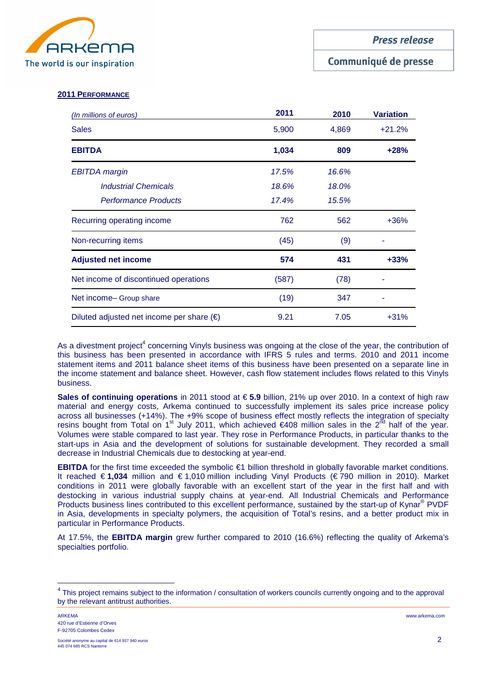

## Communiqué de presse

#### **2011 PERFORMANCE**

| (In millions of euros)                             | 2011  | 2010  | <b>Variation</b> |
|----------------------------------------------------|-------|-------|------------------|
| <b>Sales</b>                                       | 5,900 | 4,869 | $+21.2%$         |
| <b>EBITDA</b>                                      | 1,034 | 809   | $+28%$           |
| <b>EBITDA</b> margin                               | 17.5% | 16.6% |                  |
| <b>Industrial Chemicals</b>                        | 18.6% | 18.0% |                  |
| <b>Performance Products</b>                        | 17.4% | 15.5% |                  |
| Recurring operating income                         | 762   | 562   | $+36%$           |
| Non-recurring items                                | (45)  | (9)   |                  |
| <b>Adjusted net income</b>                         | 574   | 431   | $+33%$           |
| Net income of discontinued operations              | (587) | (78)  |                  |
| Net income- Group share                            | (19)  | 347   |                  |
| Diluted adjusted net income per share $(\epsilon)$ | 9.21  | 7.05  | $+31%$           |

As a divestment project<sup>4</sup> concerning Vinyls business was ongoing at the close of the year, the contribution of this business has been presented in accordance with IFRS 5 rules and terms. 2010 and 2011 income statement items and 2011 balance sheet items of this business have been presented on a separate line in the income statement and balance sheet. However, cash flow statement includes flows related to this Vinyls business.

**Sales of continuing operations** in 2011 stood at € **5.9** billion, 21% up over 2010. In a context of high raw material and energy costs, Arkema continued to successfully implement its sales price increase policy across all businesses (+14%). The +9% scope of business effect mostly reflects the integration of specialty resins bought from Total on 1<sup>st</sup> July 2011, which achieved €408 million sales in the 2<sup>nd</sup> half of the year. Volumes were stable compared to last year. They rose in Performance Products, in particular thanks to the start-ups in Asia and the development of solutions for sustainable development. They recorded a small decrease in Industrial Chemicals due to destocking at year-end.

**EBITDA** for the first time exceeded the symbolic €1 billion threshold in globally favorable market conditions. It reached € **1,034** million and € 1,010 million including Vinyl Products (€ 790 million in 2010). Market conditions in 2011 were globally favorable with an excellent start of the year in the first half and with destocking in various industrial supply chains at year-end. All Industrial Chemicals and Performance Products business lines contributed to this excellent performance, sustained by the start-up of Kynar<sup>®</sup> PVDF in Asia, developments in specialty polymers, the acquisition of Total's resins, and a better product mix in particular in Performance Products.

At 17.5%, the **EBITDA margin** grew further compared to 2010 (16.6%) reflecting the quality of Arkema's specialties portfolio.

 $\overline{a}$ 

<sup>&</sup>lt;sup>4</sup> This project remains subject to the information / consultation of workers councils currently ongoing and to the approval by the relevant antitrust authorities.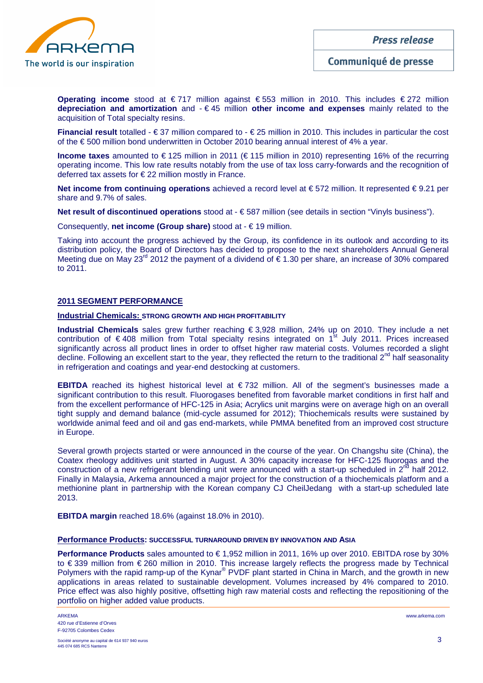

**Operating income** stood at € 717 million against € 553 million in 2010. This includes € 272 million **depreciation and amortization** and - € 45 million **other income and expenses** mainly related to the acquisition of Total specialty resins.

**Financial result** totalled - € 37 million compared to - € 25 million in 2010. This includes in particular the cost of the € 500 million bond underwritten in October 2010 bearing annual interest of 4% a year.

**Income taxes** amounted to € 125 million in 2011 (€ 115 million in 2010) representing 16% of the recurring operating income. This low rate results notably from the use of tax loss carry-forwards and the recognition of deferred tax assets for € 22 million mostly in France.

**Net income from continuing operations** achieved a record level at € 572 million. It represented € 9.21 per share and 9.7% of sales.

**Net result of discontinued operations** stood at - € 587 million (see details in section "Vinyls business").

Consequently, **net income (Group share)** stood at - € 19 million.

Taking into account the progress achieved by the Group, its confidence in its outlook and according to its distribution policy, the Board of Directors has decided to propose to the next shareholders Annual General Meeting due on May 23<sup>rd</sup> 2012 the payment of a dividend of  $\epsilon$  1.30 per share, an increase of 30% compared to 2011.

#### **2011 SEGMENT PERFORMANCE**

#### **Industrial Chemicals: STRONG GROWTH AND HIGH PROFITABILITY**

**Industrial Chemicals** sales grew further reaching € 3,928 million, 24% up on 2010. They include a net contribution of  $\epsilon$  408 million from Total specialty resins integrated on 1<sup>st</sup> July 2011. Prices increased significantly across all product lines in order to offset higher raw material costs. Volumes recorded a slight decline. Following an excellent start to the year, they reflected the return to the traditional 2<sup>nd</sup> half seasonality in refrigeration and coatings and year-end destocking at customers.

**EBITDA** reached its highest historical level at € 732 million. All of the segment's businesses made a significant contribution to this result. Fluorogases benefited from favorable market conditions in first half and from the excellent performance of HFC-125 in Asia; Acrylics unit margins were on average high on an overall tight supply and demand balance (mid-cycle assumed for 2012); Thiochemicals results were sustained by worldwide animal feed and oil and gas end-markets, while PMMA benefited from an improved cost structure in Europe.

Several growth projects started or were announced in the course of the year. On Changshu site (China), the Coatex rheology additives unit started in August. A 30% capacity increase for HFC-125 fluorogas and the construction of a new refrigerant blending unit were announced with a start-up scheduled in 2<sup>nd</sup> half 2012. Finally in Malaysia, Arkema announced a major project for the construction of a thiochemicals platform and a methionine plant in partnership with the Korean company CJ CheilJedang with a start-up scheduled late 2013.

**EBITDA margin** reached 18.6% (against 18.0% in 2010).

#### **Performance Products: SUCCESSFUL TURNAROUND DRIVEN BY INNOVATION AND ASIA**

**Performance Products** sales amounted to € 1,952 million in 2011, 16% up over 2010. EBITDA rose by 30% to € 339 million from € 260 million in 2010. This increase largely reflects the progress made by Technical Polymers with the rapid ramp-up of the Kynar® PVDF plant started in China in March, and the growth in new applications in areas related to sustainable development. Volumes increased by 4% compared to 2010. Price effect was also highly positive, offsetting high raw material costs and reflecting the repositioning of the portfolio on higher added value products.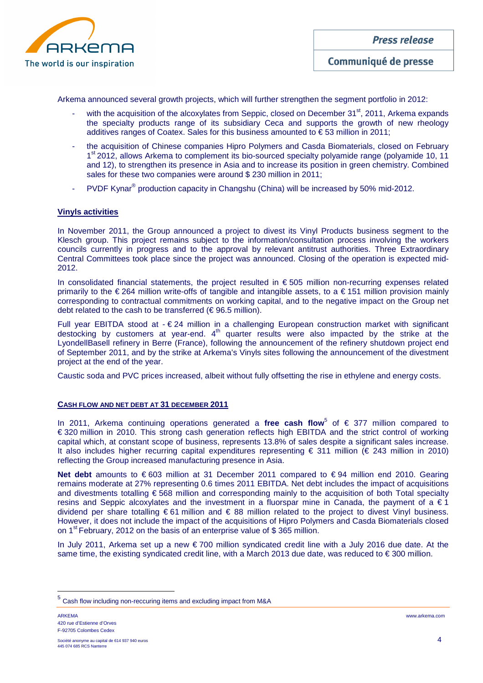

Arkema announced several growth projects, which will further strengthen the segment portfolio in 2012:

- with the acquisition of the alcoxylates from Seppic, closed on December  $31<sup>st</sup>$ , 2011, Arkema expands the specialty products range of its subsidiary Ceca and supports the growth of new rheology additives ranges of Coatex. Sales for this business amounted to  $\epsilon$  53 million in 2011;
- the acquisition of Chinese companies Hipro Polymers and Casda Biomaterials, closed on February 1<sup>st</sup> 2012, allows Arkema to complement its bio-sourced specialty polyamide range (polyamide 10, 11 and 12), to strengthen its presence in Asia and to increase its position in green chemistry. Combined sales for these two companies were around \$ 230 million in 2011;
- PVDF Kynar<sup>®</sup> production capacity in Changshu (China) will be increased by 50% mid-2012.

#### **Vinyls activities**

In November 2011, the Group announced a project to divest its Vinyl Products business segment to the Klesch group. This project remains subject to the information/consultation process involving the workers councils currently in progress and to the approval by relevant antitrust authorities. Three Extraordinary Central Committees took place since the project was announced. Closing of the operation is expected mid-2012.

In consolidated financial statements, the project resulted in  $\epsilon$  505 million non-recurring expenses related primarily to the € 264 million write-offs of tangible and intangible assets, to a € 151 million provision mainly corresponding to contractual commitments on working capital, and to the negative impact on the Group net debt related to the cash to be transferred ( $\epsilon$  96.5 million).

Full year EBITDA stood at - € 24 million in a challenging European construction market with significant destocking by customers at year-end.  $4<sup>th</sup>$  quarter results were also impacted by the strike at the LyondellBasell refinery in Berre (France), following the announcement of the refinery shutdown project end of September 2011, and by the strike at Arkema's Vinyls sites following the announcement of the divestment project at the end of the year.

Caustic soda and PVC prices increased, albeit without fully offsetting the rise in ethylene and energy costs.

#### **CASH FLOW AND NET DEBT AT 31 DECEMBER 2011**

In 2011, Arkema continuing operations generated a free cash flow<sup>5</sup> of € 377 million compared to € 320 million in 2010. This strong cash generation reflects high EBITDA and the strict control of working capital which, at constant scope of business, represents 13.8% of sales despite a significant sales increase. It also includes higher recurring capital expenditures representing € 311 million (€ 243 million in 2010) reflecting the Group increased manufacturing presence in Asia.

Net debt amounts to €603 million at 31 December 2011 compared to €94 million end 2010. Gearing remains moderate at 27% representing 0.6 times 2011 EBITDA. Net debt includes the impact of acquisitions and divestments totalling € 568 million and corresponding mainly to the acquisition of both Total specialty resins and Seppic alcoxylates and the investment in a fluorspar mine in Canada, the payment of a  $\epsilon$  1 dividend per share totalling  $\epsilon$  61 million and  $\epsilon$  88 million related to the project to divest Vinyl business. However, it does not include the impact of the acquisitions of Hipro Polymers and Casda Biomaterials closed on 1<sup>st</sup> February, 2012 on the basis of an enterprise value of \$365 million.

In July 2011, Arkema set up a new € 700 million syndicated credit line with a July 2016 due date. At the same time, the existing syndicated credit line, with a March 2013 due date, was reduced to € 300 million.

ARKEMA www.arkema.com 420 rue d'Estienne d'Orves F-92705 Colombes Cedex

 $\overline{a}$ 

<sup>&</sup>lt;sup>5</sup> Cash flow including non-reccuring items and excluding impact from M&A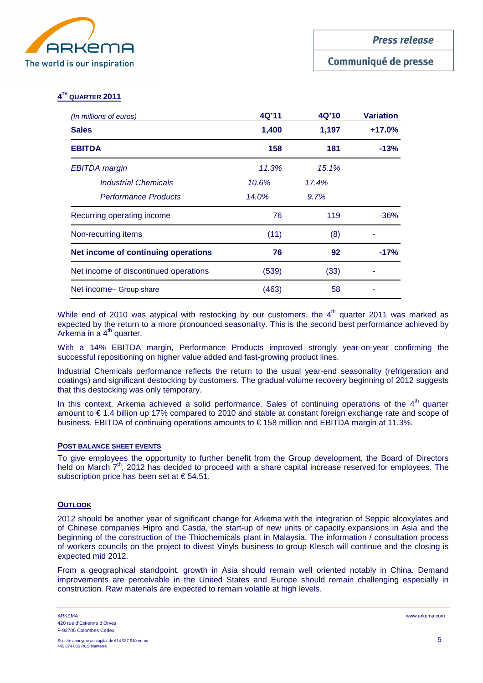

## Communiqué de presse

## **4 TH QUARTER 2011**

| (In millions of euros)                | 4Q'11 | 4Q'10 | Variation |  |  |
|---------------------------------------|-------|-------|-----------|--|--|
| <b>Sales</b>                          | 1,400 | 1,197 | $+17.0%$  |  |  |
| <b>EBITDA</b>                         | 158   | 181   | $-13%$    |  |  |
| EBITDA margin                         | 11.3% | 15.1% |           |  |  |
| <b>Industrial Chemicals</b>           | 10.6% | 17.4% |           |  |  |
| <b>Performance Products</b>           | 14.0% | 9.7%  |           |  |  |
| Recurring operating income            | 76    | 119   | $-36%$    |  |  |
| Non-recurring items                   | (11)  | (8)   |           |  |  |
| Net income of continuing operations   | 76    | 92    | $-17%$    |  |  |
| Net income of discontinued operations | (539) | (33)  |           |  |  |
| Net income- Group share               | (463) | 58    |           |  |  |

While end of 2010 was atypical with restocking by our customers, the  $4<sup>th</sup>$  quarter 2011 was marked as expected by the return to a more pronounced seasonality. This is the second best performance achieved by Arkema in a  $4<sup>th</sup>$  quarter.

With a 14% EBITDA margin, Performance Products improved strongly year-on-year confirming the successful repositioning on higher value added and fast-growing product lines.

Industrial Chemicals performance reflects the return to the usual year-end seasonality (refrigeration and coatings) and significant destocking by customers. The gradual volume recovery beginning of 2012 suggests that this destocking was only temporary.

In this context, Arkema achieved a solid performance. Sales of continuing operations of the  $4<sup>th</sup>$  quarter amount to € 1.4 billion up 17% compared to 2010 and stable at constant foreign exchange rate and scope of business. EBITDA of continuing operations amounts to € 158 million and EBITDA margin at 11.3%.

#### **POST BALANCE SHEET EVENTS**

To give employees the opportunity to further benefit from the Group development, the Board of Directors held on March 7<sup>th</sup>, 2012 has decided to proceed with a share capital increase reserved for employees. The subscription price has been set at  $\epsilon$  54.51.

#### **OUTLOOK**

2012 should be another year of significant change for Arkema with the integration of Seppic alcoxylates and of Chinese companies Hipro and Casda, the start-up of new units or capacity expansions in Asia and the beginning of the construction of the Thiochemicals plant in Malaysia. The information / consultation process of workers councils on the project to divest Vinyls business to group Klesch will continue and the closing is expected mid 2012.

From a geographical standpoint, growth in Asia should remain well oriented notably in China. Demand improvements are perceivable in the United States and Europe should remain challenging especially in construction. Raw materials are expected to remain volatile at high levels.

ARKEMA www.arkema.com 420 rue d'Estienne d'Orves F-92705 Colombes Cedex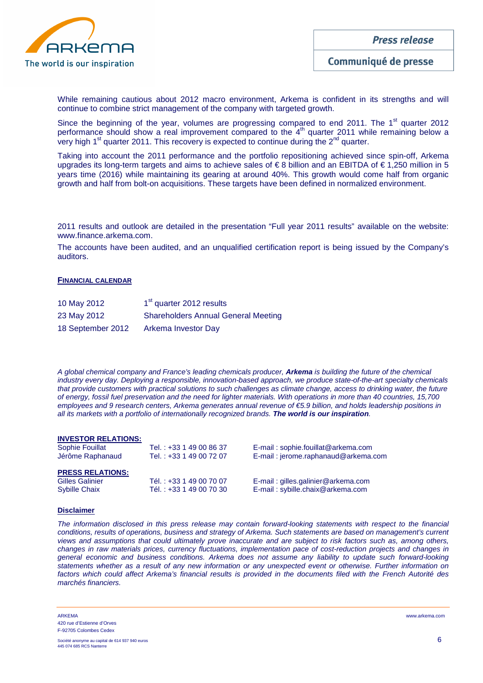

While remaining cautious about 2012 macro environment, Arkema is confident in its strengths and will continue to combine strict management of the company with targeted growth.

Since the beginning of the year, volumes are progressing compared to end 2011. The 1<sup>st</sup> quarter 2012 performance should show a real improvement compared to the 4<sup>th</sup> quarter 2011 while remaining below a very high 1st quarter 2011. This recovery is expected to continue during the 2nd quarter.

Taking into account the 2011 performance and the portfolio repositioning achieved since spin-off, Arkema upgrades its long-term targets and aims to achieve sales of € 8 billion and an EBITDA of € 1,250 million in 5 years time (2016) while maintaining its gearing at around 40%. This growth would come half from organic growth and half from bolt-on acquisitions. These targets have been defined in normalized environment.

2011 results and outlook are detailed in the presentation "Full year 2011 results" available on the website: www.finance.arkema.com.

The accounts have been audited, and an unqualified certification report is being issued by the Company's auditors.

#### **FINANCIAL CALENDAR**

| 10 May 2012       | 1 <sup>st</sup> quarter 2012 results       |
|-------------------|--------------------------------------------|
| 23 May 2012       | <b>Shareholders Annual General Meeting</b> |
| 18 September 2012 | Arkema Investor Day                        |

A global chemical company and France's leading chemicals producer, **Arkema** is building the future of the chemical industry every day. Deploying a responsible, innovation-based approach, we produce state-of-the-art specialty chemicals that provide customers with practical solutions to such challenges as climate change, access to drinking water, the future of energy, fossil fuel preservation and the need for lighter materials. With operations in more than 40 countries, 15,700 employees and 9 research centers, Arkema generates annual revenue of €5.9 billion, and holds leadership positions in all its markets with a portfolio of internationally recognized brands. **The world is our inspiration**.

#### **INVESTOR RELATIONS:**

| Sophie Fouillat<br>Jérôme Raphanaud | Tel.: +33 1 49 00 86 37<br>Tel.: +33 1 49 00 72 07 | E-mail: sophie.fouillat@arkema.com<br>E-mail: jerome.raphanaud@arkema.com |
|-------------------------------------|----------------------------------------------------|---------------------------------------------------------------------------|
| <b>PRESS RELATIONS:</b>             |                                                    |                                                                           |
| Gilles Galinier                     | Tél.: +33 1 49 00 70 07                            | E-mail: gilles.galinier@arkema.com                                        |
| <b>Sybille Chaix</b>                | Tél.: +33 1 49 00 70 30                            | E-mail: sybille.chaix@arkema.com                                          |
|                                     |                                                    |                                                                           |

#### **Disclaimer**

The information disclosed in this press release may contain forward-looking statements with respect to the financial conditions, results of operations, business and strategy of Arkema. Such statements are based on management's current views and assumptions that could ultimately prove inaccurate and are subject to risk factors such as, among others, changes in raw materials prices, currency fluctuations, implementation pace of cost-reduction projects and changes in general economic and business conditions. Arkema does not assume any liability to update such forward-looking statements whether as a result of any new information or any unexpected event or otherwise. Further information on factors which could affect Arkema's financial results is provided in the documents filed with the French Autorité des marchés financiers.

ARKEMA www.arkema.com 420 rue d'Estienne d'Orves F-92705 Colombes Cedex

Société anonyme au capital de 614 937 940 euros  $6 \overline{6}$ 445 074 685 RCS Nanterre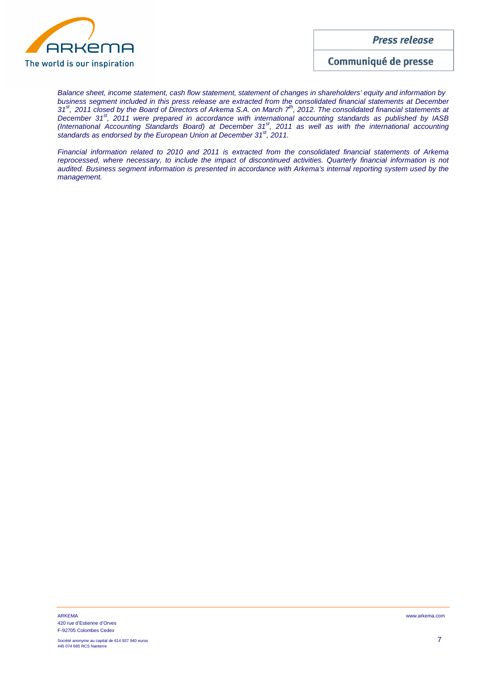

Communiqué de presse

Balance sheet, income statement, cash flow statement, statement of changes in shareholders' equity and information by business segment included in this press release are extracted from the consolidated financial statements at December 31<sup>st</sup>, 2011 closed by the Board of Directors of Arkema S.A. on March  $7<sup>th</sup>$ , 2012. The consolidated financial statements at December 31<sup>st</sup>, 2011 were prepared in accordance with international accounting standards as published by IASB (International Accounting Standards Board) at December 31<sup>st</sup>, 2011 as well as with the international accounting standards as endorsed by the European Union at December  $31<sup>st</sup>$ , 2011.

Financial information related to 2010 and 2011 is extracted from the consolidated financial statements of Arkema reprocessed, where necessary, to include the impact of discontinued activities. Quarterly financial information is not audited. Business segment information is presented in accordance with Arkema's internal reporting system used by the management.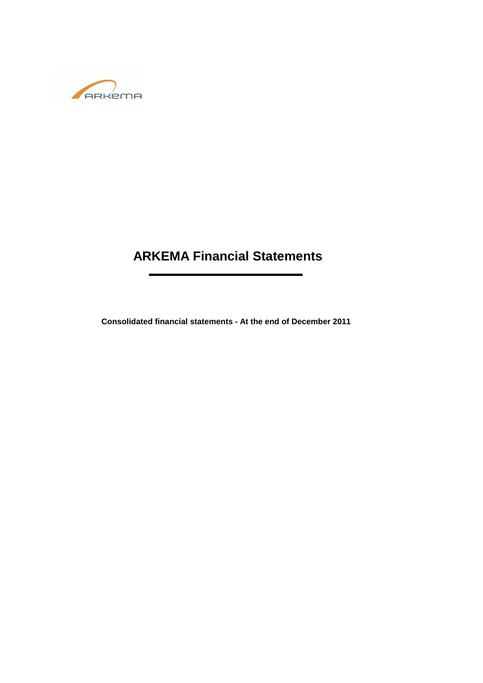

# **ARKEMA Financial Statements**

**Consolidated financial statements - At the end of December 2011**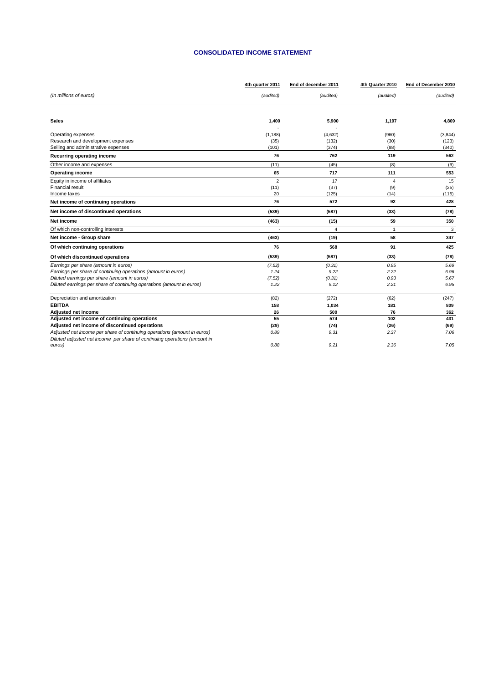#### **CONSOLIDATED INCOME STATEMENT**

|                                                                           | 4th quarter 2011 | End of december 2011 | 4th Quarter 2010 | End of December 2010 |
|---------------------------------------------------------------------------|------------------|----------------------|------------------|----------------------|
| (In millions of euros)                                                    | (audited)        | (audited)            | (audited)        | (audited)            |
|                                                                           |                  |                      |                  |                      |
| <b>Sales</b>                                                              | 1,400            | 5,900                | 1,197            | 4,869                |
| Operating expenses                                                        | (1, 188)         | (4,632)              | (960)            | (3,844)              |
| Research and development expenses                                         | (35)             | (132)                | (30)             | (123)                |
| Selling and administrative expenses                                       | (101)            | (374)                | (88)             | (340)                |
| Recurring operating income                                                | 76               | 762                  | 119              | 562                  |
| Other income and expenses                                                 | (11)             | (45)                 | (8)              | (9)                  |
| <b>Operating income</b>                                                   | 65               | 717                  | 111              | 553                  |
| Equity in income of affiliates                                            | $\overline{2}$   | 17                   | 4                | 15                   |
| Financial result                                                          | (11)             | (37)                 | (9)              | (25)                 |
| Income taxes                                                              | 20               | (125)                | (14)             | (115)                |
| Net income of continuing operations                                       | 76               | 572                  | 92               | 428                  |
| Net income of discontinued operations                                     | (539)            | (587)                | (33)             | (78)                 |
| Net income                                                                | (463)            | (15)                 | 59               | 350                  |
| Of which non-controlling interests                                        |                  | 4                    | $\overline{1}$   | 3                    |
| Net income - Group share                                                  | (463)            | (19)                 | 58               | 347                  |
| Of which continuing operations                                            | 76               | 568                  | 91               | 425                  |
| Of which discontinued operations                                          | (539)            | (587)                | (33)             | (78)                 |
| Earnings per share (amount in euros)                                      | (7.52)           | (0.31)               | 0.95             | 5.69                 |
| Earnings per share of continuing operations (amount in euros)             | 1.24             | 9.22                 | 2.22             | 6.96                 |
| Diluted earnings per share (amount in euros)                              | (7.52)           | (0.31)               | 0.93             | 5.67                 |
| Diluted earnings per share of continuing operations (amount in euros)     | 1.22             | 9.12                 | 2.21             | 6.95                 |
| Depreciation and amortization                                             | (82)             | (272)                | (62)             | (247)                |
| <b>EBITDA</b>                                                             | 158              | 1,034                | 181              | 809                  |
| Adjusted net income                                                       | 26               | 500                  | 76               | 362                  |
| Adjusted net income of continuing operations                              | 55               | 574                  | 102              | 431                  |
| Adjusted net income of discontinued operations                            | (29)             | (74)                 | (26)             | (69)                 |
| Adjusted net income per share of continuing operations (amount in euros)  | 0.89             | 9.31                 | 2.37             | 7.06                 |
| Diluted adjusted net income per share of continuing operations (amount in |                  |                      |                  |                      |
| euros)                                                                    | 0.88             | 9.21                 | 2.36             | 7.05                 |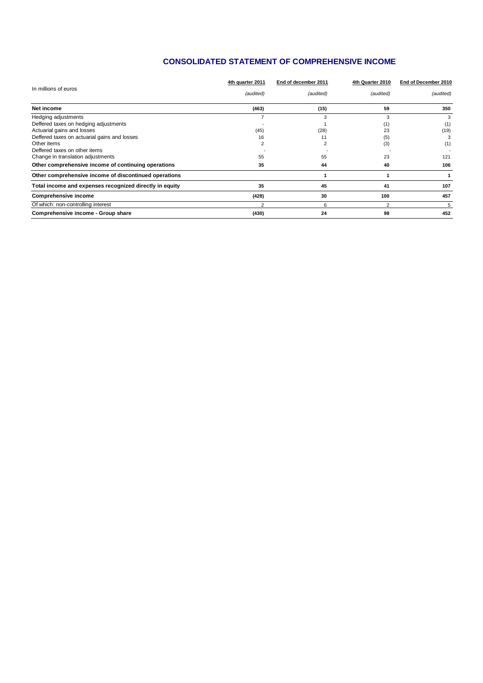### **CONSOLIDATED STATEMENT OF COMPREHENSIVE INCOME**

|                                                         | 4th quarter 2011 | End of december 2011 | 4th Quarter 2010 | End of December 2010 |  |
|---------------------------------------------------------|------------------|----------------------|------------------|----------------------|--|
| In millions of euros                                    | (audited)        | (audited)            | (audited)        | (audited)            |  |
| Net income                                              | (463)            | (15)                 | 59               | 350                  |  |
| Hedging adjustments                                     |                  | 3                    | 3                | 3                    |  |
| Deffered taxes on hedging adjustments                   |                  |                      | (1)              | (1)                  |  |
| Actuarial gains and losses                              | (45)             | (28)                 | 23               | (19)                 |  |
| Deffered taxes on actuarial gains and losses            | 16               | 11                   | (5)              | З                    |  |
| Other items                                             | $\overline{2}$   | 2                    | (3)              | (1)                  |  |
| Deffered taxes on other items                           |                  |                      |                  |                      |  |
| Change in translation adjustments                       | 55               | 55                   | 23               | 121                  |  |
| Other comprehensive income of continuing operations     | 35               | 44                   | 40               | 106                  |  |
| Other comprehensive income of discontinued operations   |                  |                      |                  |                      |  |
| Total income and expenses recognized directly in equity | 35               | 45                   | 41               | 107                  |  |
| Comprehensive income                                    | (428)            | 30                   | 100              | 457                  |  |
| Of which: non-controlling interest                      | $\overline{2}$   | 6                    | $\overline{2}$   | 5                    |  |
| Comprehensive income - Group share                      | (430)            | 24                   | 98               | 452                  |  |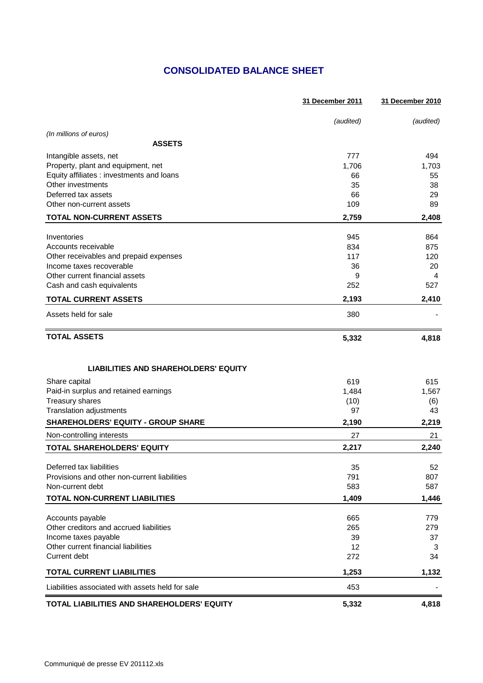# **CONSOLIDATED BALANCE SHEET**

|                                                  | 31 December 2011 | 31 December 2010 |
|--------------------------------------------------|------------------|------------------|
|                                                  | (audited)        | (audited)        |
| (In millions of euros)                           |                  |                  |
| <b>ASSETS</b>                                    |                  |                  |
| Intangible assets, net                           | 777              | 494              |
| Property, plant and equipment, net               | 1,706            | 1,703            |
| Equity affiliates : investments and loans        | 66               | 55               |
| Other investments                                | 35               | 38               |
| Deferred tax assets                              | 66               | 29               |
| Other non-current assets                         | 109              | 89               |
| <b>TOTAL NON-CURRENT ASSETS</b>                  | 2,759            | 2,408            |
| Inventories                                      | 945              | 864              |
| Accounts receivable                              | 834              | 875              |
| Other receivables and prepaid expenses           | 117              | 120              |
| Income taxes recoverable                         | 36               | 20               |
| Other current financial assets                   | 9                | 4                |
| Cash and cash equivalents                        | 252              | 527              |
| <b>TOTAL CURRENT ASSETS</b>                      | 2,193            | 2,410            |
| Assets held for sale                             | 380              |                  |
| <b>TOTAL ASSETS</b>                              | 5,332            | 4,818            |
| <b>LIABILITIES AND SHAREHOLDERS' EQUITY</b>      |                  |                  |
| Share capital                                    | 619              | 615              |
| Paid-in surplus and retained earnings            | 1,484            | 1,567            |
| Treasury shares                                  | (10)             | (6)              |
| Translation adjustments                          | 97               | 43               |
| <b>SHAREHOLDERS' EQUITY - GROUP SHARE</b>        | 2,190            | 2,219            |
| Non-controlling interests                        | 27               | 21               |
| TOTAL SHAREHOLDERS' EQUITY                       | 2,217            | 2,240            |
| Deferred tax liabilities                         | 35               | 52               |
| Provisions and other non-current liabilities     | 791              | 807              |
| Non-current debt                                 | 583              | 587              |
| TOTAL NON-CURRENT LIABILITIES                    | 1,409            | 1,446            |
| Accounts payable                                 | 665              | 779              |
| Other creditors and accrued liabilities          | 265              | 279              |
| Income taxes payable                             | 39               | 37               |
| Other current financial liabilities              | 12               | 3                |
| Current debt                                     | 272              | 34               |
| <b>TOTAL CURRENT LIABILITIES</b>                 | 1,253            | 1,132            |
| Liabilities associated with assets held for sale | 453              |                  |
| TOTAL LIABILITIES AND SHAREHOLDERS' EQUITY       | 5,332            | 4,818            |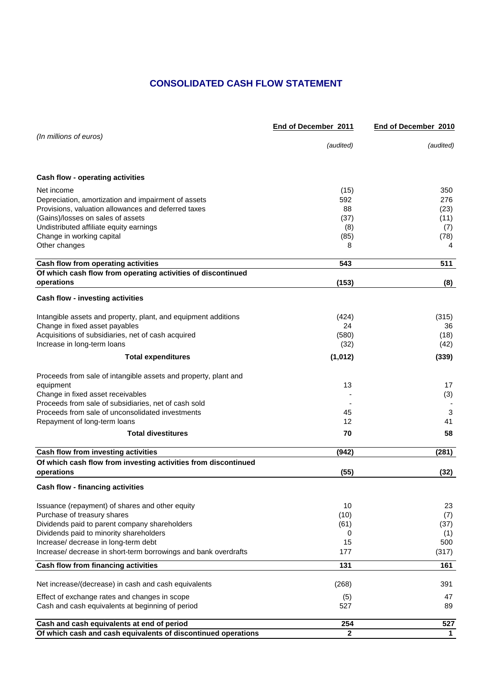# **CONSOLIDATED CASH FLOW STATEMENT**

|                                                                                          | End of December 2011 | End of December 2010 |
|------------------------------------------------------------------------------------------|----------------------|----------------------|
| (In millions of euros)                                                                   |                      |                      |
|                                                                                          | (audited)            | (audited)            |
| Cash flow - operating activities                                                         |                      |                      |
|                                                                                          |                      |                      |
| Net income                                                                               | (15)                 | 350                  |
| Depreciation, amortization and impairment of assets                                      | 592<br>88            | 276                  |
| Provisions, valuation allowances and deferred taxes<br>(Gains)/losses on sales of assets | (37)                 | (23)<br>(11)         |
| Undistributed affiliate equity earnings                                                  | (8)                  | (7)                  |
| Change in working capital                                                                | (85)                 | (78)                 |
| Other changes                                                                            | 8                    | 4                    |
| Cash flow from operating activities                                                      | 543                  | 511                  |
| Of which cash flow from operating activities of discontinued                             |                      |                      |
| operations                                                                               | (153)                | (8)                  |
| <b>Cash flow - investing activities</b>                                                  |                      |                      |
| Intangible assets and property, plant, and equipment additions                           | (424)                | (315)                |
| Change in fixed asset payables                                                           | 24                   | 36                   |
| Acquisitions of subsidiaries, net of cash acquired                                       | (580)                | (18)                 |
| Increase in long-term loans                                                              | (32)                 | (42)                 |
| <b>Total expenditures</b>                                                                | (1,012)              | (339)                |
| Proceeds from sale of intangible assets and property, plant and                          |                      |                      |
| equipment                                                                                | 13                   | 17                   |
| Change in fixed asset receivables                                                        |                      | (3)                  |
| Proceeds from sale of subsidiaries, net of cash sold                                     |                      |                      |
| Proceeds from sale of unconsolidated investments                                         | 45                   | 3                    |
| Repayment of long-term loans                                                             | 12                   | 41                   |
| <b>Total divestitures</b>                                                                | 70                   | 58                   |
| Cash flow from investing activities                                                      | (942)                | (281)                |
| Of which cash flow from investing activities from discontinued<br>operations             | (55)                 | (32)                 |
| <b>Cash flow - financing activities</b>                                                  |                      |                      |
|                                                                                          |                      |                      |
| Issuance (repayment) of shares and other equity<br>Purchase of treasury shares           | 10<br>(10)           | 23                   |
| Dividends paid to parent company shareholders                                            | (61)                 | (7)<br>(37)          |
| Dividends paid to minority shareholders                                                  | 0                    | (1)                  |
| Increase/ decrease in long-term debt                                                     | 15                   | 500                  |
| Increase/ decrease in short-term borrowings and bank overdrafts                          | 177                  | (317)                |
| Cash flow from financing activities                                                      | 131                  | 161                  |
| Net increase/(decrease) in cash and cash equivalents                                     | (268)                | 391                  |
| Effect of exchange rates and changes in scope                                            | (5)                  | 47                   |
| Cash and cash equivalents at beginning of period                                         | 527                  | 89                   |
| Cash and cash equivalents at end of period                                               | 254                  | 527                  |
| Of which cash and cash equivalents of discontinued operations                            | $\mathbf{2}$         | $\mathbf{1}$         |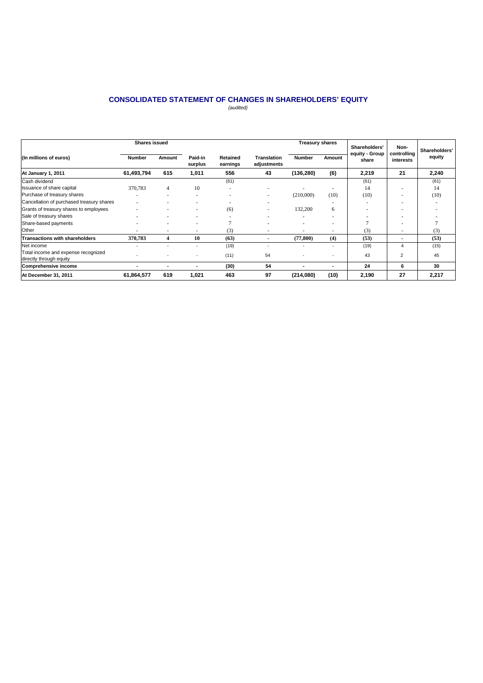#### **CONSOLIDATED STATEMENT OF CHANGES IN SHAREHOLDERS' EQUITY** (audited)

|                                                                | <b>Shares issued</b> |                          |                    |                      |                                   | <b>Treasury shares</b> |        | Shareholders'           | Non-                     | Shareholders' |
|----------------------------------------------------------------|----------------------|--------------------------|--------------------|----------------------|-----------------------------------|------------------------|--------|-------------------------|--------------------------|---------------|
| (In millions of euros)                                         | <b>Number</b>        | Amount                   | Paid-in<br>surplus | Retained<br>earnings | <b>Translation</b><br>adjustments | <b>Number</b>          | Amount | equity - Group<br>share | controlling<br>interests | equity        |
| At January 1, 2011                                             | 61,493,794           | 615                      | 1,011              | 556                  | 43                                | (136, 280)             | (6)    | 2,219                   | 21                       | 2,240         |
| Cash dividend                                                  |                      |                          |                    | (61)                 |                                   |                        |        | (61)                    |                          | (61)          |
| Issuance of share capital                                      | 370,783              | 4                        | 10                 |                      | ۰                                 |                        |        | 14                      |                          | 14            |
| Purchase of treasury shares                                    |                      |                          | $\sim$             |                      | $\overline{\phantom{a}}$          | (210,000)              | (10)   | (10)                    |                          | (10)          |
| Cancellation of purchased treasury shares                      |                      |                          |                    |                      |                                   |                        |        |                         |                          |               |
| Grants of treasury shares to employees                         |                      |                          | ۰                  | (6)                  |                                   | 132,200                | 6      |                         |                          |               |
| Sale of treasury shares                                        |                      |                          |                    |                      |                                   |                        |        |                         |                          |               |
| Share-based payments                                           |                      |                          |                    |                      |                                   |                        |        | r.                      |                          |               |
| Other                                                          |                      | ٠                        | ٠                  | (3)                  | ۰                                 |                        | ۰      | (3)                     | $\overline{\phantom{a}}$ | (3)           |
| <b>Transactions with shareholders</b>                          | 370,783              | 4                        | 10                 | (63)                 | $\blacksquare$                    | (77,800)               | (4)    | (53)                    |                          | (53)          |
| Net income                                                     |                      |                          | ٠                  | (19)                 | $\overline{\phantom{a}}$          |                        |        | (19)                    | 4                        | (15)          |
| Total income and expense recognized<br>directly through equity |                      |                          |                    | (11)                 | 54                                |                        |        | 43                      | $\overline{2}$           | 45            |
| Comprehensive income                                           |                      | $\overline{\phantom{a}}$ |                    | (30)                 | 54                                |                        |        | 24                      | 6                        | 30            |
| At December 31, 2011                                           | 61,864,577           | 619                      | 1,021              | 463                  | 97                                | (214,080)              | (10)   | 2,190                   | 27                       | 2,217         |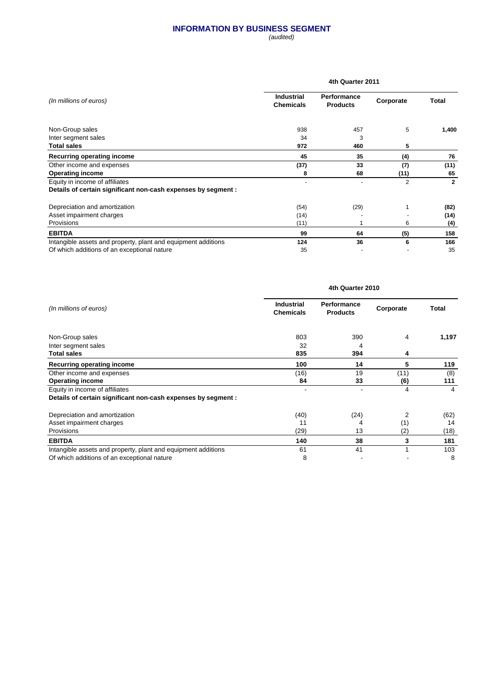#### **INFORMATION BY BUSINESS SEGMENT**

(audited)

|                                                               | 4th Quarter 2011                      |                                       |                |              |  |  |
|---------------------------------------------------------------|---------------------------------------|---------------------------------------|----------------|--------------|--|--|
| (In millions of euros)                                        | <b>Industrial</b><br><b>Chemicals</b> | <b>Performance</b><br><b>Products</b> | Corporate      | Total        |  |  |
| Non-Group sales                                               | 938                                   | 457                                   | 5              | 1,400        |  |  |
| Inter segment sales                                           | 34                                    | 3                                     |                |              |  |  |
| <b>Total sales</b>                                            | 972                                   | 460                                   | 5              |              |  |  |
| Recurring operating income                                    | 45                                    | 35                                    | (4)            | 76           |  |  |
| Other income and expenses                                     | (37)                                  | 33                                    | (7)            | (11)         |  |  |
| <b>Operating income</b>                                       | 8                                     | 68                                    | (11)           | 65           |  |  |
| Equity in income of affiliates                                |                                       |                                       | $\overline{2}$ | $\mathbf{2}$ |  |  |
| Details of certain significant non-cash expenses by segment : |                                       |                                       |                |              |  |  |
| Depreciation and amortization                                 | (54)                                  | (29)                                  |                | (82)         |  |  |
| Asset impairment charges                                      | (14)                                  |                                       |                | (14)         |  |  |
| Provisions                                                    | (11)                                  |                                       | 6              | (4)          |  |  |
| <b>EBITDA</b>                                                 | 99                                    | 64                                    | (5)            | 158          |  |  |
| Intangible assets and property, plant and equipment additions | 124                                   | 36                                    | 6              | 166          |  |  |
| Of which additions of an exceptional nature                   | 35                                    |                                       |                | 35           |  |  |

|                                                               |                                       | 4th Quarter 2010                      |           |              |
|---------------------------------------------------------------|---------------------------------------|---------------------------------------|-----------|--------------|
| (In millions of euros)                                        | <b>Industrial</b><br><b>Chemicals</b> | <b>Performance</b><br><b>Products</b> | Corporate | <b>Total</b> |
| Non-Group sales                                               | 803                                   | 390                                   | 4         | 1,197        |
| Inter segment sales                                           | 32                                    | 4                                     |           |              |
| <b>Total sales</b>                                            | 835                                   | 394                                   | 4         |              |
| Recurring operating income                                    | 100                                   | 14                                    | 5         | 119          |
| Other income and expenses                                     | (16)                                  | 19                                    | (11)      | (8)          |
| <b>Operating income</b>                                       | 84                                    | 33                                    | (6)       | 111          |
| Equity in income of affiliates                                |                                       | ۰                                     | 4         | 4            |
| Details of certain significant non-cash expenses by segment : |                                       |                                       |           |              |
| Depreciation and amortization                                 | (40)                                  | (24)                                  | 2         | (62)         |
| Asset impairment charges                                      | 11                                    | 4                                     | (1)       | 14           |
| Provisions                                                    | (29)                                  | 13                                    | (2)       | (18)         |
| <b>EBITDA</b>                                                 | 140                                   | 38                                    | 3         | 181          |
| Intangible assets and property, plant and equipment additions | 61                                    | 41                                    |           | 103          |
| Of which additions of an exceptional nature                   | 8                                     |                                       |           | 8            |